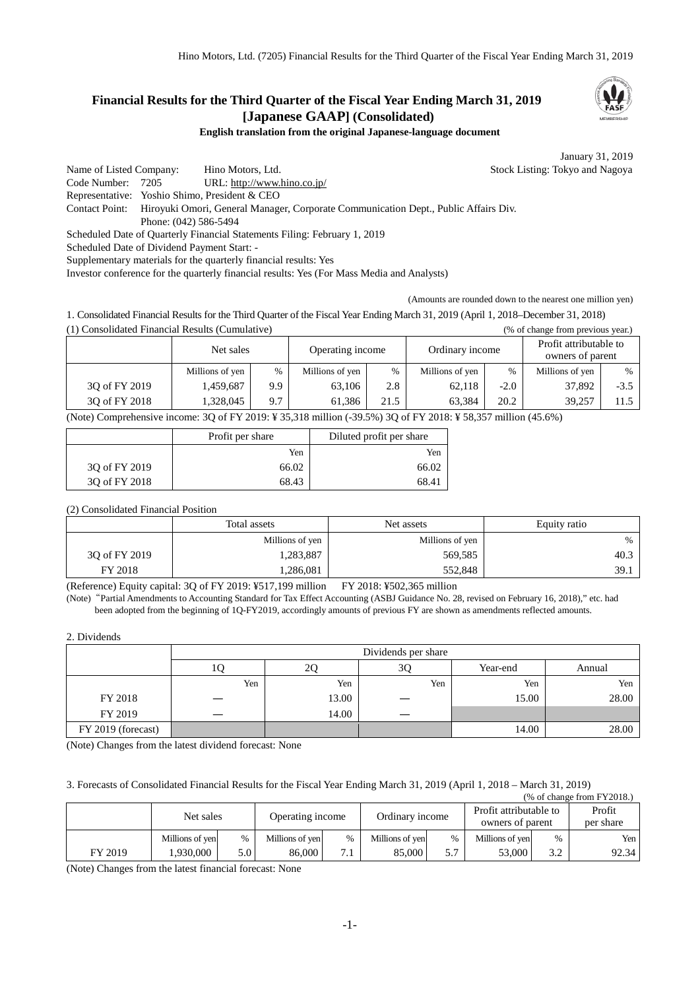## **Financial Results for the Third Quarter of the Fiscal Year Ending March 31, 2019 [Japanese GAAP] (Consolidated)**



**English translation from the original Japanese-language document**

January 31, 2019

Name of Listed Company: Hino Motors, Ltd. Stock Listing: Tokyo and Nagoya Code Number: 7205 URL: http://www.hino.co.jp/ Representative: Yoshio Shimo, President & CEO Contact Point: Hiroyuki Omori, General Manager, Corporate Communication Dept., Public Affairs Div. Phone: (042) 586-5494 Scheduled Date of Quarterly Financial Statements Filing: February 1, 2019 Scheduled Date of Dividend Payment Start: - Supplementary materials for the quarterly financial results: Yes

Investor conference for the quarterly financial results: Yes (For Mass Media and Analysts)

(Amounts are rounded down to the nearest one million yen)

1. Consolidated Financial Results for the Third Quarter of the Fiscal Year Ending March 31, 2019 (April 1, 2018–December 31, 2018) (1) Consolidated Financial Results (Cumulative) (% of change from previous year.)

|               | Net sales       |     | Operating income |               | Ordinary income |        | Profit attributable to<br>owners of parent |        |
|---------------|-----------------|-----|------------------|---------------|-----------------|--------|--------------------------------------------|--------|
|               | Millions of yen | %   | Millions of yen  | $\frac{0}{0}$ | Millions of yen | %      | Millions of yen                            | $\%$   |
| 3Q of FY 2019 | 1,459,687       | 9.9 | 63.106           | 2.8           | 62,118          | $-2.0$ | 37,892                                     | $-3.5$ |
| 30 of FY 2018 | .328.045        | 9.7 | 61.386           | 21.5          | 63.384          | 20.2   | 39.257                                     | 11.5   |

(Note) Comprehensive income: 3Q of FY 2019: ¥ 35,318 million (-39.5%) 3Q of FY 2018: ¥ 58,357 million (45.6%)

|               | Profit per share | Diluted profit per share |
|---------------|------------------|--------------------------|
|               | Yen              | Yen                      |
| 30 of FY 2019 | 66.02            | 66.02                    |
| 30 of FY 2018 | 68.43            | 68.41                    |

(2) Consolidated Financial Position

|               | Total assets    | Net assets      | Equity ratio |  |
|---------------|-----------------|-----------------|--------------|--|
|               | Millions of yen | Millions of yen | %            |  |
| 3Q of FY 2019 | 1,283,887       | 569,585         | 40.3         |  |
| FY 2018       | 1,286,081       | 552,848         | 39.1         |  |

(Reference) Equity capital: 3Q of FY 2019: ¥517,199 million FY 2018: ¥502,365 million

(Note)"Partial Amendments to Accounting Standard for Tax Effect Accounting (ASBJ Guidance No. 28, revised on February 16, 2018)," etc. had been adopted from the beginning of 1Q-FY2019, accordingly amounts of previous FY are shown as amendments reflected amounts.

## 2. Dividends

|                    | Dividends per share |       |     |          |        |  |  |  |
|--------------------|---------------------|-------|-----|----------|--------|--|--|--|
|                    | ΙU                  | 2Q    | 3Q  | Year-end | Annual |  |  |  |
|                    | Yen                 | Yen   | Yen | Yen      | Yen    |  |  |  |
| FY 2018            |                     | 13.00 |     | 15.00    | 28.00  |  |  |  |
| FY 2019            |                     | 14.00 |     |          |        |  |  |  |
| FY 2019 (forecast) |                     |       |     | 14.00    | 28.00  |  |  |  |

(Note) Changes from the latest dividend forecast: None

3. Forecasts of Consolidated Financial Results for the Fiscal Year Ending March 31, 2019 (April 1, 2018 – March 31, 2019)  $(5572018)$ 

| (70 ОГСПАНЕС ПОШ Г ГДОТО.) |                 |                  |                  |              |                 |      |                                            |               |                     |
|----------------------------|-----------------|------------------|------------------|--------------|-----------------|------|--------------------------------------------|---------------|---------------------|
|                            | Net sales       |                  | Operating income |              | Ordinary income |      | Profit attributable to<br>owners of parent |               | Profit<br>per share |
|                            | Millions of yen | $\%$             | Millions of yen  | $\%$         | Millions of yen | $\%$ | Millions of yen                            | $\frac{0}{0}$ | Yen I               |
| FY 2019                    | .930.000        | 5.0 <sup>1</sup> | 86.000           | $\mathbf{r}$ | 85,000          | 5.7  | 53.000                                     | 3.2           | 92.34               |

(Note) Changes from the latest financial forecast: None